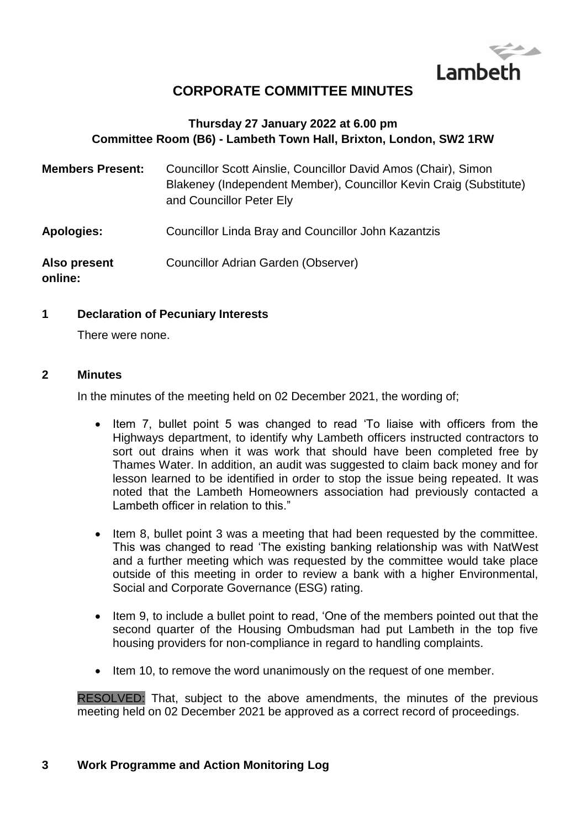

# **CORPORATE COMMITTEE MINUTES**

# **Thursday 27 January 2022 at 6.00 pm Committee Room (B6) - Lambeth Town Hall, Brixton, London, SW2 1RW**

| <b>Members Present:</b> | Councillor Scott Ainslie, Councillor David Amos (Chair), Simon<br>Blakeney (Independent Member), Councillor Kevin Craig (Substitute)<br>and Councillor Peter Ely |
|-------------------------|------------------------------------------------------------------------------------------------------------------------------------------------------------------|
| <b>Apologies:</b>       | Councillor Linda Bray and Councillor John Kazantzis                                                                                                              |
| Also present<br>online: | Councillor Adrian Garden (Observer)                                                                                                                              |

#### **1 Declaration of Pecuniary Interests**

There were none.

#### **2 Minutes**

In the minutes of the meeting held on 02 December 2021, the wording of;

- Item 7, bullet point 5 was changed to read 'To liaise with officers from the Highways department, to identify why Lambeth officers instructed contractors to sort out drains when it was work that should have been completed free by Thames Water. In addition, an audit was suggested to claim back money and for lesson learned to be identified in order to stop the issue being repeated. It was noted that the Lambeth Homeowners association had previously contacted a Lambeth officer in relation to this."
- Item 8, bullet point 3 was a meeting that had been requested by the committee. This was changed to read 'The existing banking relationship was with NatWest and a further meeting which was requested by the committee would take place outside of this meeting in order to review a bank with a higher Environmental, Social and Corporate Governance (ESG) rating.
- Item 9, to include a bullet point to read, 'One of the members pointed out that the second quarter of the Housing Ombudsman had put Lambeth in the top five housing providers for non-compliance in regard to handling complaints.
- Item 10, to remove the word unanimously on the request of one member.

RESOLVED: That, subject to the above amendments, the minutes of the previous meeting held on 02 December 2021 be approved as a correct record of proceedings.

#### **3 Work Programme and Action Monitoring Log**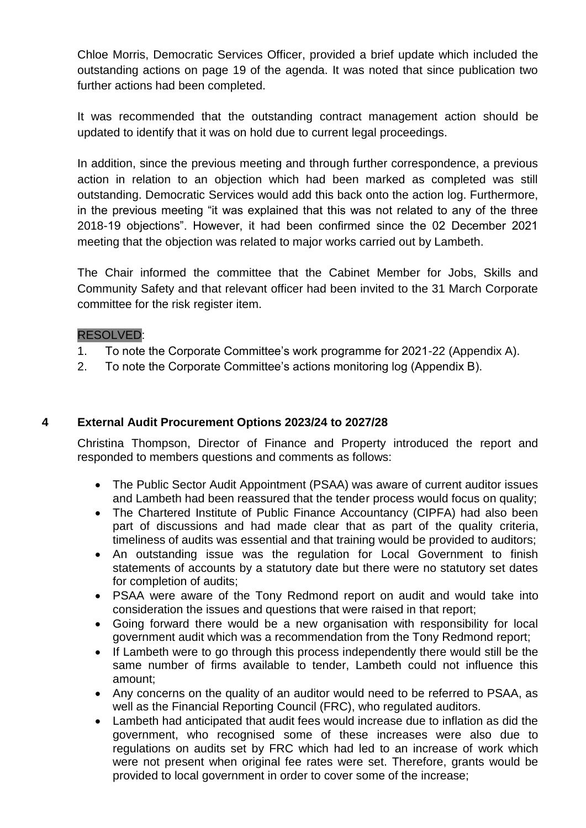Chloe Morris, Democratic Services Officer, provided a brief update which included the outstanding actions on page 19 of the agenda. It was noted that since publication two further actions had been completed.

It was recommended that the outstanding contract management action should be updated to identify that it was on hold due to current legal proceedings.

In addition, since the previous meeting and through further correspondence, a previous action in relation to an objection which had been marked as completed was still outstanding. Democratic Services would add this back onto the action log. Furthermore, in the previous meeting "it was explained that this was not related to any of the three 2018-19 objections". However, it had been confirmed since the 02 December 2021 meeting that the objection was related to major works carried out by Lambeth.

The Chair informed the committee that the Cabinet Member for Jobs, Skills and Community Safety and that relevant officer had been invited to the 31 March Corporate committee for the risk register item.

## RESOLVED:

- 1. To note the Corporate Committee's work programme for 2021-22 (Appendix A).
- 2. To note the Corporate Committee's actions monitoring log (Appendix B).

#### **4 External Audit Procurement Options 2023/24 to 2027/28**

Christina Thompson, Director of Finance and Property introduced the report and responded to members questions and comments as follows:

- The Public Sector Audit Appointment (PSAA) was aware of current auditor issues and Lambeth had been reassured that the tender process would focus on quality;
- The Chartered Institute of Public Finance Accountancy (CIPFA) had also been part of discussions and had made clear that as part of the quality criteria, timeliness of audits was essential and that training would be provided to auditors;
- An outstanding issue was the regulation for Local Government to finish statements of accounts by a statutory date but there were no statutory set dates for completion of audits;
- PSAA were aware of the Tony Redmond report on audit and would take into consideration the issues and questions that were raised in that report;
- Going forward there would be a new organisation with responsibility for local government audit which was a recommendation from the Tony Redmond report;
- If Lambeth were to go through this process independently there would still be the same number of firms available to tender, Lambeth could not influence this amount;
- Any concerns on the quality of an auditor would need to be referred to PSAA, as well as the Financial Reporting Council (FRC), who regulated auditors.
- Lambeth had anticipated that audit fees would increase due to inflation as did the government, who recognised some of these increases were also due to regulations on audits set by FRC which had led to an increase of work which were not present when original fee rates were set. Therefore, grants would be provided to local government in order to cover some of the increase;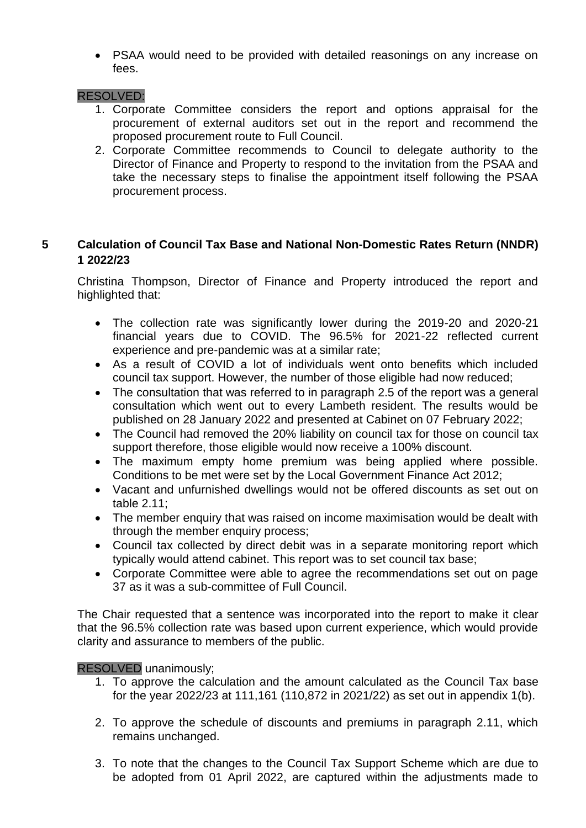PSAA would need to be provided with detailed reasonings on any increase on fees.

#### RESOLVED:

- 1. Corporate Committee considers the report and options appraisal for the procurement of external auditors set out in the report and recommend the proposed procurement route to Full Council.
- 2. Corporate Committee recommends to Council to delegate authority to the Director of Finance and Property to respond to the invitation from the PSAA and take the necessary steps to finalise the appointment itself following the PSAA procurement process.

# **5 Calculation of Council Tax Base and National Non-Domestic Rates Return (NNDR) 1 2022/23**

Christina Thompson, Director of Finance and Property introduced the report and highlighted that:

- The collection rate was significantly lower during the 2019-20 and 2020-21 financial years due to COVID. The 96.5% for 2021-22 reflected current experience and pre-pandemic was at a similar rate;
- As a result of COVID a lot of individuals went onto benefits which included council tax support. However, the number of those eligible had now reduced;
- The consultation that was referred to in paragraph 2.5 of the report was a general consultation which went out to every Lambeth resident. The results would be published on 28 January 2022 and presented at Cabinet on 07 February 2022;
- The Council had removed the 20% liability on council tax for those on council tax support therefore, those eligible would now receive a 100% discount.
- The maximum empty home premium was being applied where possible. Conditions to be met were set by the Local Government Finance Act 2012;
- Vacant and unfurnished dwellings would not be offered discounts as set out on table 2.11;
- The member enquiry that was raised on income maximisation would be dealt with through the member enquiry process;
- Council tax collected by direct debit was in a separate monitoring report which typically would attend cabinet. This report was to set council tax base;
- Corporate Committee were able to agree the recommendations set out on page 37 as it was a sub-committee of Full Council.

The Chair requested that a sentence was incorporated into the report to make it clear that the 96.5% collection rate was based upon current experience, which would provide clarity and assurance to members of the public.

#### RESOLVED unanimously;

- 1. To approve the calculation and the amount calculated as the Council Tax base for the year 2022/23 at 111,161 (110,872 in 2021/22) as set out in appendix 1(b).
- 2. To approve the schedule of discounts and premiums in paragraph 2.11, which remains unchanged.
- 3. To note that the changes to the Council Tax Support Scheme which are due to be adopted from 01 April 2022, are captured within the adjustments made to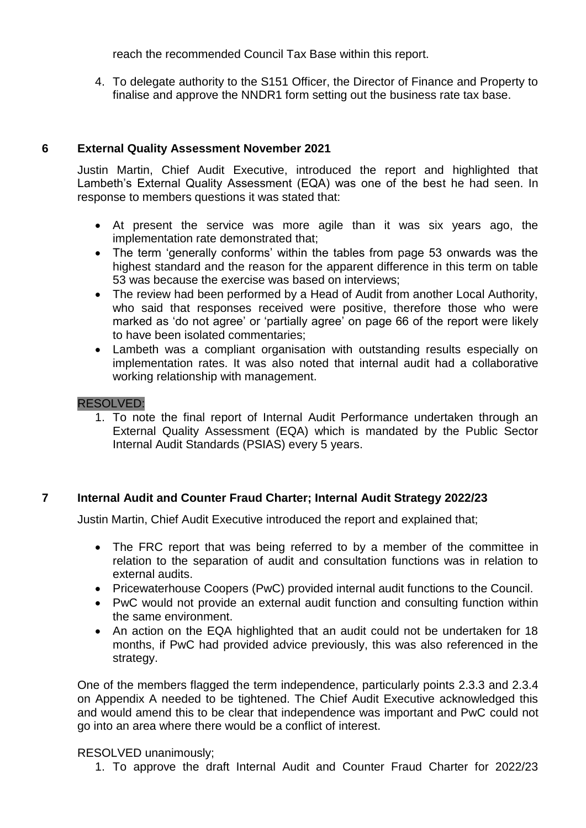reach the recommended Council Tax Base within this report.

4. To delegate authority to the S151 Officer, the Director of Finance and Property to finalise and approve the NNDR1 form setting out the business rate tax base.

## **6 External Quality Assessment November 2021**

Justin Martin, Chief Audit Executive, introduced the report and highlighted that Lambeth's External Quality Assessment (EQA) was one of the best he had seen. In response to members questions it was stated that:

- At present the service was more agile than it was six years ago, the implementation rate demonstrated that;
- The term 'generally conforms' within the tables from page 53 onwards was the highest standard and the reason for the apparent difference in this term on table 53 was because the exercise was based on interviews;
- The review had been performed by a Head of Audit from another Local Authority, who said that responses received were positive, therefore those who were marked as 'do not agree' or 'partially agree' on page 66 of the report were likely to have been isolated commentaries;
- Lambeth was a compliant organisation with outstanding results especially on implementation rates. It was also noted that internal audit had a collaborative working relationship with management.

#### RESOLVED:

1. To note the final report of Internal Audit Performance undertaken through an External Quality Assessment (EQA) which is mandated by the Public Sector Internal Audit Standards (PSIAS) every 5 years.

#### **7 Internal Audit and Counter Fraud Charter; Internal Audit Strategy 2022/23**

Justin Martin, Chief Audit Executive introduced the report and explained that;

- The FRC report that was being referred to by a member of the committee in relation to the separation of audit and consultation functions was in relation to external audits.
- Pricewaterhouse Coopers (PwC) provided internal audit functions to the Council.
- PwC would not provide an external audit function and consulting function within the same environment.
- An action on the EQA highlighted that an audit could not be undertaken for 18 months, if PwC had provided advice previously, this was also referenced in the strategy.

One of the members flagged the term independence, particularly points 2.3.3 and 2.3.4 on Appendix A needed to be tightened. The Chief Audit Executive acknowledged this and would amend this to be clear that independence was important and PwC could not go into an area where there would be a conflict of interest.

#### RESOLVED unanimously;

1. To approve the draft Internal Audit and Counter Fraud Charter for 2022/23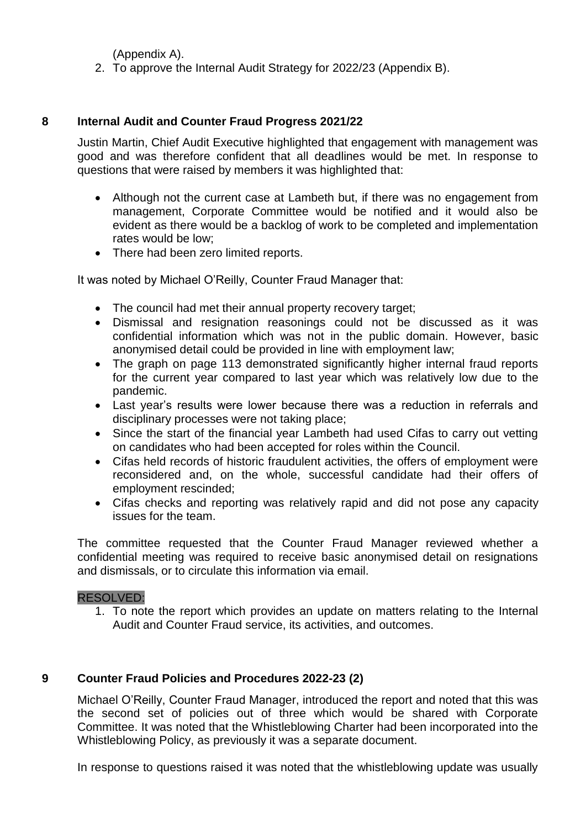(Appendix A).

2. To approve the Internal Audit Strategy for 2022/23 (Appendix B).

#### **8 Internal Audit and Counter Fraud Progress 2021/22**

Justin Martin, Chief Audit Executive highlighted that engagement with management was good and was therefore confident that all deadlines would be met. In response to questions that were raised by members it was highlighted that:

- Although not the current case at Lambeth but, if there was no engagement from management, Corporate Committee would be notified and it would also be evident as there would be a backlog of work to be completed and implementation rates would be low;
- There had been zero limited reports.

It was noted by Michael O'Reilly, Counter Fraud Manager that:

- The council had met their annual property recovery target:
- Dismissal and resignation reasonings could not be discussed as it was confidential information which was not in the public domain. However, basic anonymised detail could be provided in line with employment law;
- The graph on page 113 demonstrated significantly higher internal fraud reports for the current year compared to last year which was relatively low due to the pandemic.
- Last year's results were lower because there was a reduction in referrals and disciplinary processes were not taking place;
- Since the start of the financial year Lambeth had used Cifas to carry out vetting on candidates who had been accepted for roles within the Council.
- Cifas held records of historic fraudulent activities, the offers of employment were reconsidered and, on the whole, successful candidate had their offers of employment rescinded;
- Cifas checks and reporting was relatively rapid and did not pose any capacity issues for the team.

The committee requested that the Counter Fraud Manager reviewed whether a confidential meeting was required to receive basic anonymised detail on resignations and dismissals, or to circulate this information via email.

#### RESOLVED:

1. To note the report which provides an update on matters relating to the Internal Audit and Counter Fraud service, its activities, and outcomes.

#### **9 Counter Fraud Policies and Procedures 2022-23 (2)**

Michael O'Reilly, Counter Fraud Manager, introduced the report and noted that this was the second set of policies out of three which would be shared with Corporate Committee. It was noted that the Whistleblowing Charter had been incorporated into the Whistleblowing Policy, as previously it was a separate document.

In response to questions raised it was noted that the whistleblowing update was usually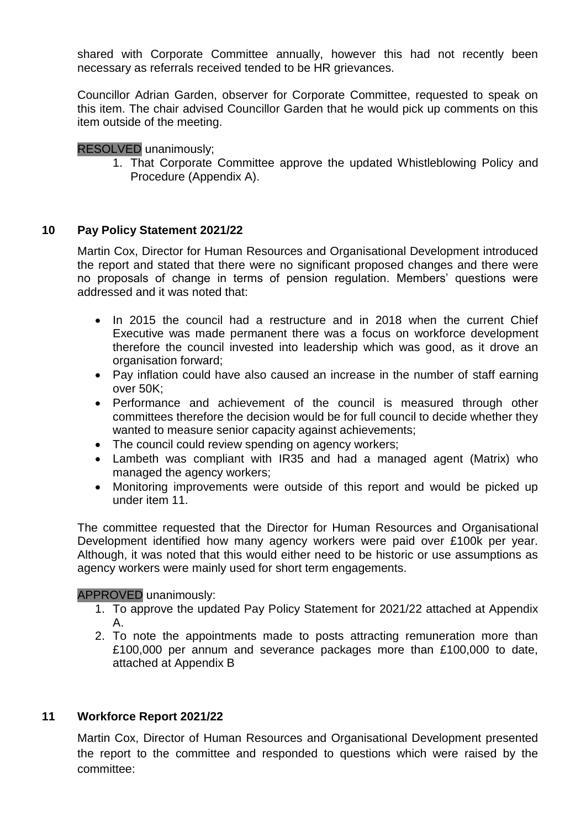shared with Corporate Committee annually, however this had not recently been necessary as referrals received tended to be HR grievances.

Councillor Adrian Garden, observer for Corporate Committee, requested to speak on this item. The chair advised Councillor Garden that he would pick up comments on this item outside of the meeting.

## RESOLVED unanimously;

1. That Corporate Committee approve the updated Whistleblowing Policy and Procedure (Appendix A).

## **10 Pay Policy Statement 2021/22**

Martin Cox, Director for Human Resources and Organisational Development introduced the report and stated that there were no significant proposed changes and there were no proposals of change in terms of pension regulation. Members' questions were addressed and it was noted that:

- In 2015 the council had a restructure and in 2018 when the current Chief Executive was made permanent there was a focus on workforce development therefore the council invested into leadership which was good, as it drove an organisation forward;
- Pay inflation could have also caused an increase in the number of staff earning over 50K;
- Performance and achievement of the council is measured through other committees therefore the decision would be for full council to decide whether they wanted to measure senior capacity against achievements;
- The council could review spending on agency workers;
- Lambeth was compliant with IR35 and had a managed agent (Matrix) who managed the agency workers;
- Monitoring improvements were outside of this report and would be picked up under item 11.

The committee requested that the Director for Human Resources and Organisational Development identified how many agency workers were paid over £100k per year. Although, it was noted that this would either need to be historic or use assumptions as agency workers were mainly used for short term engagements.

#### APPROVED unanimously:

- 1. To approve the updated Pay Policy Statement for 2021/22 attached at Appendix A.
- 2. To note the appointments made to posts attracting remuneration more than £100,000 per annum and severance packages more than £100,000 to date, attached at Appendix B

#### **11 Workforce Report 2021/22**

Martin Cox, Director of Human Resources and Organisational Development presented the report to the committee and responded to questions which were raised by the committee: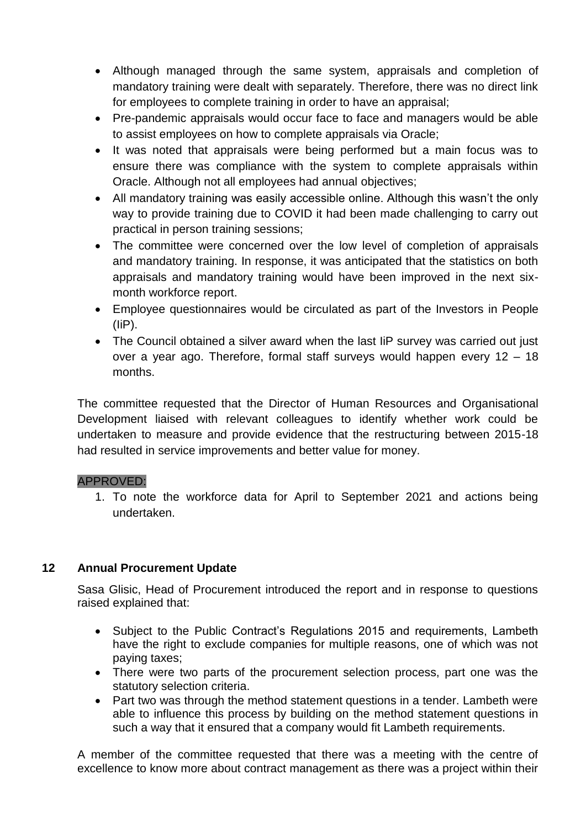- Although managed through the same system, appraisals and completion of mandatory training were dealt with separately. Therefore, there was no direct link for employees to complete training in order to have an appraisal;
- Pre-pandemic appraisals would occur face to face and managers would be able to assist employees on how to complete appraisals via Oracle;
- It was noted that appraisals were being performed but a main focus was to ensure there was compliance with the system to complete appraisals within Oracle. Although not all employees had annual objectives;
- All mandatory training was easily accessible online. Although this wasn't the only way to provide training due to COVID it had been made challenging to carry out practical in person training sessions;
- The committee were concerned over the low level of completion of appraisals and mandatory training. In response, it was anticipated that the statistics on both appraisals and mandatory training would have been improved in the next sixmonth workforce report.
- Employee questionnaires would be circulated as part of the Investors in People (IiP).
- The Council obtained a silver award when the last liP survey was carried out just over a year ago. Therefore, formal staff surveys would happen every 12 – 18 months.

The committee requested that the Director of Human Resources and Organisational Development liaised with relevant colleagues to identify whether work could be undertaken to measure and provide evidence that the restructuring between 2015-18 had resulted in service improvements and better value for money.

#### APPROVED:

1. To note the workforce data for April to September 2021 and actions being undertaken.

# **12 Annual Procurement Update**

Sasa Glisic, Head of Procurement introduced the report and in response to questions raised explained that:

- Subject to the Public Contract's Regulations 2015 and requirements, Lambeth have the right to exclude companies for multiple reasons, one of which was not paying taxes;
- There were two parts of the procurement selection process, part one was the statutory selection criteria.
- Part two was through the method statement questions in a tender. Lambeth were able to influence this process by building on the method statement questions in such a way that it ensured that a company would fit Lambeth requirements.

A member of the committee requested that there was a meeting with the centre of excellence to know more about contract management as there was a project within their